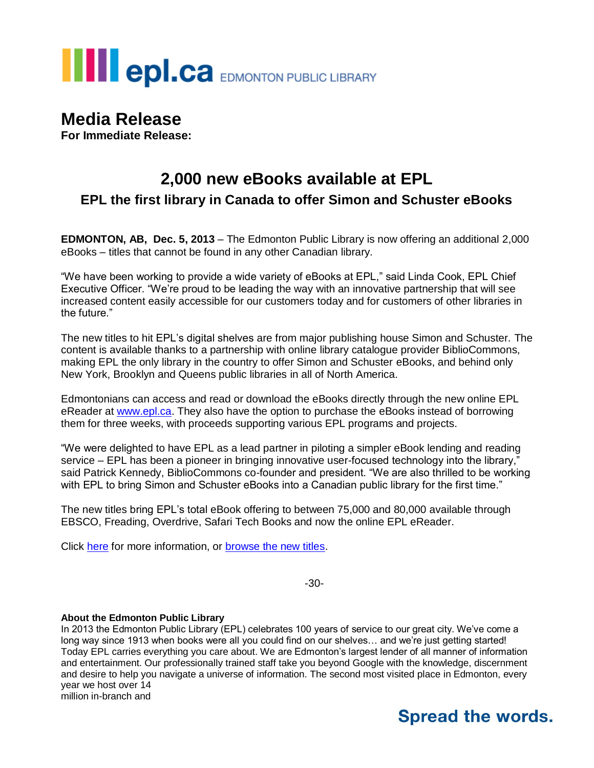

## **Media Release**

**For Immediate Release:**

## **2,000 new eBooks available at EPL EPL the first library in Canada to offer Simon and Schuster eBooks**

**EDMONTON, AB, Dec. 5, 2013** – The Edmonton Public Library is now offering an additional 2,000 eBooks – titles that cannot be found in any other Canadian library.

"We have been working to provide a wide variety of eBooks at EPL," said Linda Cook, EPL Chief Executive Officer. "We're proud to be leading the way with an innovative partnership that will see increased content easily accessible for our customers today and for customers of other libraries in the future."

The new titles to hit EPL's digital shelves are from major publishing house Simon and Schuster. The content is available thanks to a partnership with online library catalogue provider BiblioCommons, making EPL the only library in the country to offer Simon and Schuster eBooks, and behind only New York, Brooklyn and Queens public libraries in all of North America.

Edmontonians can access and read or download the eBooks directly through the new online EPL eReader at [www.epl.ca.](http://www.epl.ca/) They also have the option to purchase the eBooks instead of borrowing them for three weeks, with proceeds supporting various EPL programs and projects.

"We were delighted to have EPL as a lead partner in piloting a simpler eBook lending and reading service – EPL has been a pioneer in bringing innovative user-focused technology into the library," said Patrick Kennedy, BiblioCommons co-founder and president. "We are also thrilled to be working with EPL to bring Simon and Schuster eBooks into a Canadian public library for the first time."

The new titles bring EPL's total eBook offering to between 75,000 and 80,000 available through EBSCO, Freading, Overdrive, Safari Tech Books and now the online EPL eReader.

Click [here](http://www.epl.ca/epl-ereader) for more information, or [browse the new titles.](http://epl.bibliocommons.com/search?custom_query=%28lib_union_entitled_libids%3A%285%29%29&suppress=true&custom_edit=true&title=Simon%20%26%20Schuster%20eBooks)

-30-

## **About the Edmonton Public Library**

In 2013 the Edmonton Public Library (EPL) celebrates 100 years of service to our great city. We've come a long way since 1913 when books were all you could find on our shelves... and we're just getting started! Today EPL carries everything you care about. We are Edmonton's largest lender of all manner of information and entertainment. Our professionally trained staff take you beyond Google with the knowledge, discernment and desire to help you navigate a universe of information. The second most visited place in Edmonton, every year we host over 14 million in-branch and